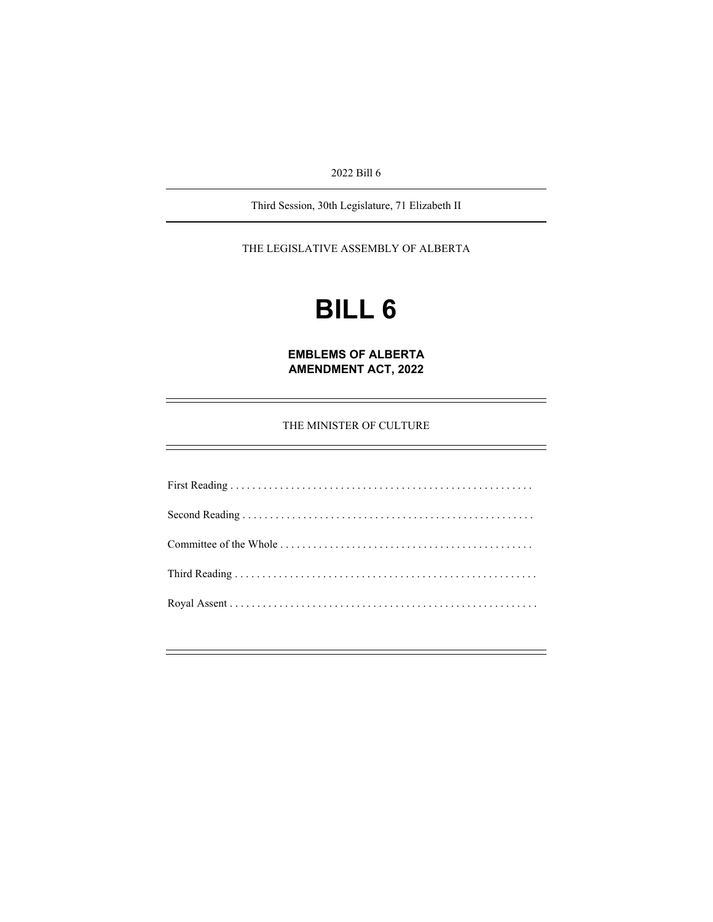2022 Bill 6

Third Session, 30th Legislature, 71 Elizabeth II

THE LEGISLATIVE ASSEMBLY OF ALBERTA

# **BILL 6**

**EMBLEMS OF ALBERTA AMENDMENT ACT, 2022** 

THE MINISTER OF CULTURE

ł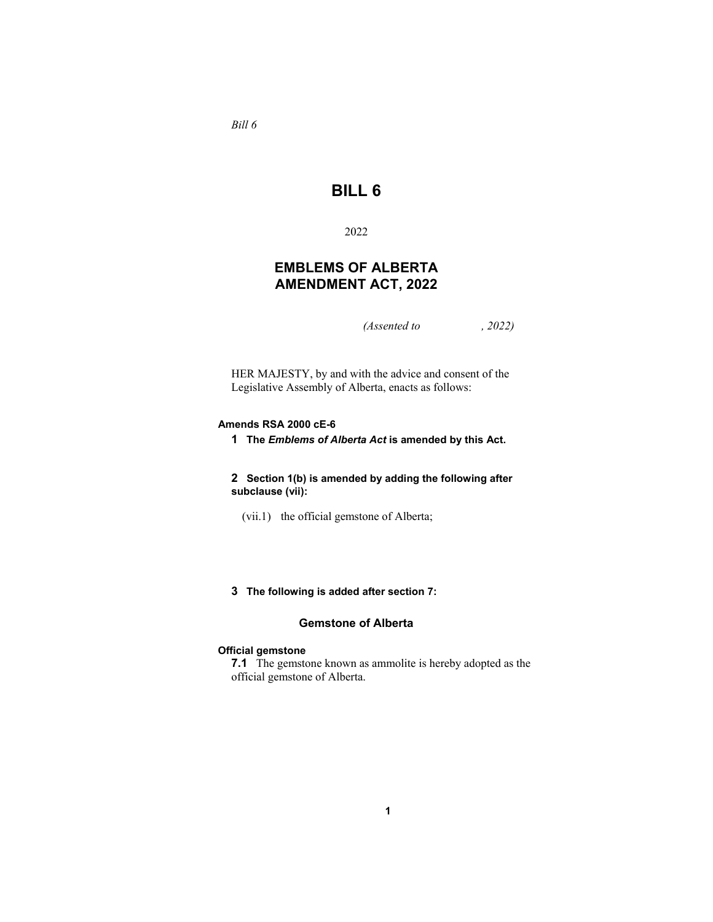*Bill 6* 

# **BILL 6**

2022

# **EMBLEMS OF ALBERTA AMENDMENT ACT, 2022**

*(Assented to , 2022)* 

HER MAJESTY, by and with the advice and consent of the Legislative Assembly of Alberta, enacts as follows:

#### **Amends RSA 2000 cE-6**

**1 The** *Emblems of Alberta Act* **is amended by this Act.**

**2 Section 1(b) is amended by adding the following after subclause (vii):**

- (vii.1) the official gemstone of Alberta;
- **3 The following is added after section 7:**

### **Gemstone of Alberta**

#### **Official gemstone**

**7.1** The gemstone known as ammolite is hereby adopted as the official gemstone of Alberta.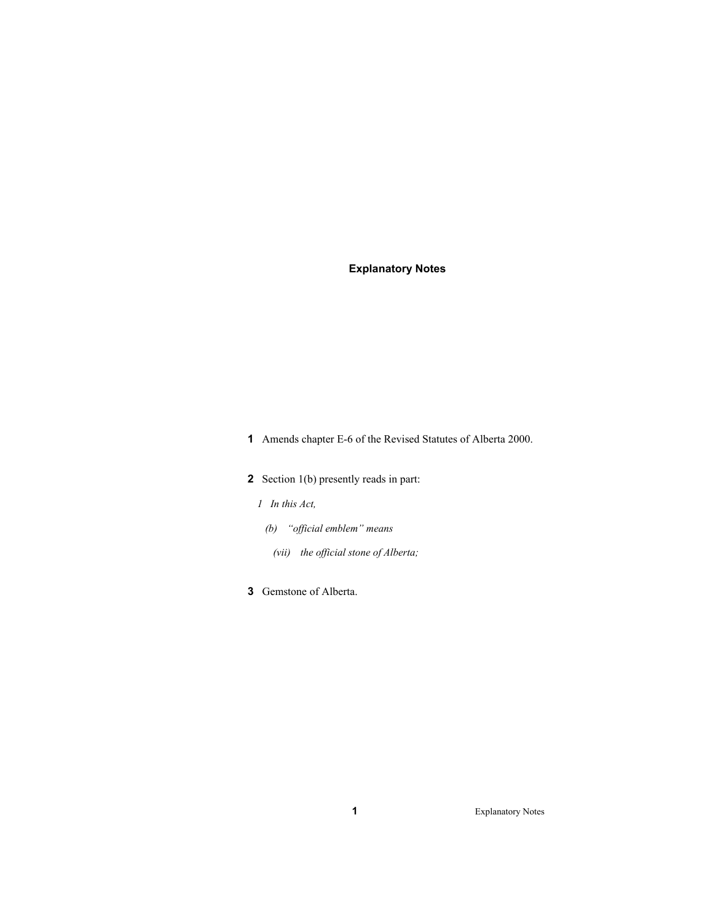## **Explanatory Notes**

**1** Amends chapter E-6 of the Revised Statutes of Alberta 2000.

- **2** Section 1(b) presently reads in part:
	- *1 In this Act,*
	- *(b) "official emblem" means* 
		- *(vii) the official stone of Alberta;*
- **3** Gemstone of Alberta.

**1** Explanatory Notes